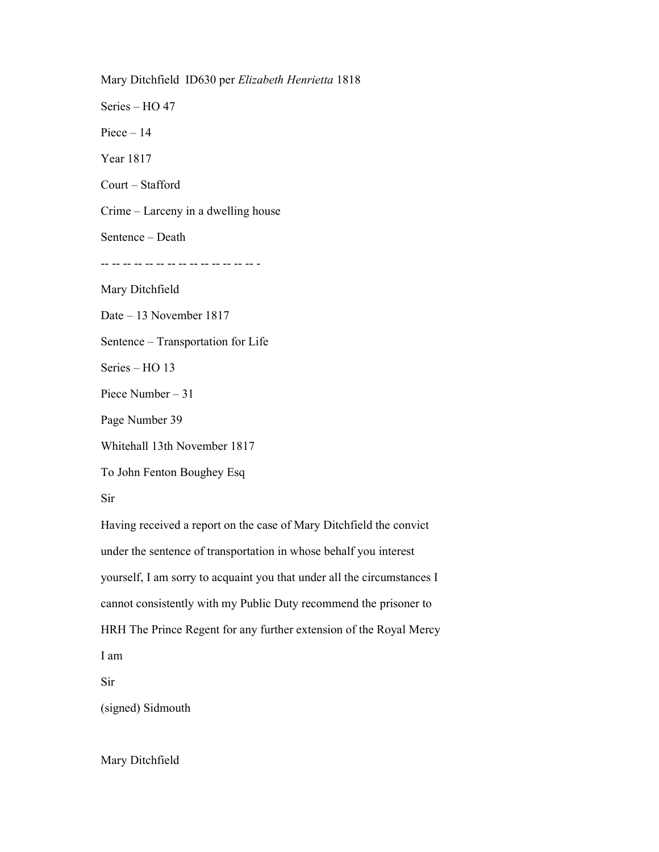Mary Ditchfield ID630 per Elizabeth Henrietta 1818 Series – HO 47 Piece  $-14$ Year 1817 Court – Stafford Crime – Larceny in a dwelling house Sentence – Death -- -- -- -- -- -- -- -- -- -- -- -- -- -- - Mary Ditchfield Date – 13 November 1817 Sentence – Transportation for Life Series – HO 13 Piece Number – 31 Page Number 39 Whitehall 13th November 1817 To John Fenton Boughey Esq Sir Having received a report on the case of Mary Ditchfield the convict under the sentence of transportation in whose behalf you interest yourself, I am sorry to acquaint you that under all the circumstances I cannot consistently with my Public Duty recommend the prisoner to

HRH The Prince Regent for any further extension of the Royal Mercy I am

Sir

(signed) Sidmouth

Mary Ditchfield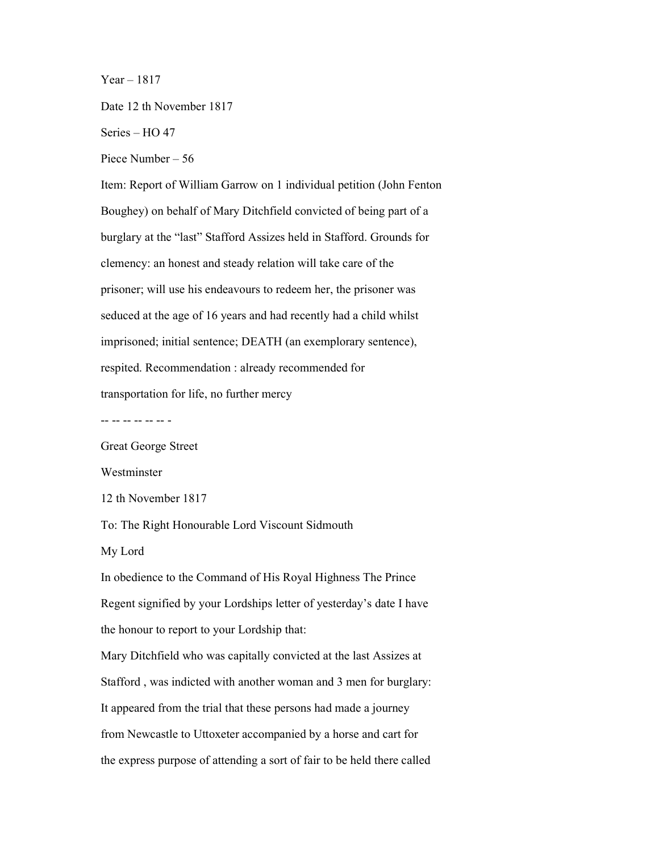$Year - 1817$ 

Date 12 th November 1817

Series – HO 47

Piece Number – 56

Item: Report of William Garrow on 1 individual petition (John Fenton Boughey) on behalf of Mary Ditchfield convicted of being part of a burglary at the "last" Stafford Assizes held in Stafford. Grounds for clemency: an honest and steady relation will take care of the prisoner; will use his endeavours to redeem her, the prisoner was seduced at the age of 16 years and had recently had a child whilst imprisoned; initial sentence; DEATH (an exemplorary sentence), respited. Recommendation : already recommended for transportation for life, no further mercy

-- -- -- -- -- -- -

Great George Street

Westminster

12 th November 1817

To: The Right Honourable Lord Viscount Sidmouth

My Lord

In obedience to the Command of His Royal Highness The Prince Regent signified by your Lordships letter of yesterday's date I have the honour to report to your Lordship that:

Mary Ditchfield who was capitally convicted at the last Assizes at Stafford , was indicted with another woman and 3 men for burglary: It appeared from the trial that these persons had made a journey from Newcastle to Uttoxeter accompanied by a horse and cart for the express purpose of attending a sort of fair to be held there called